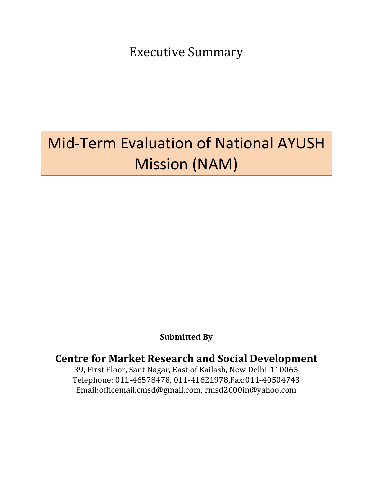Executive Summary

# Mid-Term Evaluation of National AYUSH Mission (NAM)

# **Submitted By**

# **Centre for Market Research and Social Development**

39, First Floor, Sant Nagar, East of Kailash, New Delhi-110065 Telephone: 011-46578478, 011-41621978,Fax:011-40504743 Email:officemail.cmsd@gmail.com, cmsd2000in@yahoo.com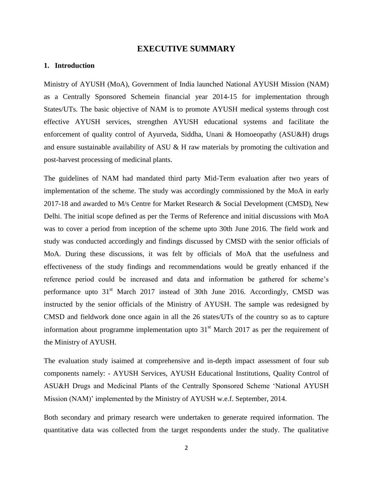### **EXECUTIVE SUMMARY**

#### **1. Introduction**

Ministry of AYUSH (MoA), Government of India launched National AYUSH Mission (NAM) as a Centrally Sponsored Schemein financial year 2014-15 for implementation through States/UTs. The basic objective of NAM is to promote AYUSH medical systems through cost effective AYUSH services, strengthen AYUSH educational systems and facilitate the enforcement of quality control of Ayurveda, Siddha, Unani & Homoeopathy (ASU&H) drugs and ensure sustainable availability of ASU & H raw materials by promoting the cultivation and post-harvest processing of medicinal plants.

The guidelines of NAM had mandated third party Mid-Term evaluation after two years of implementation of the scheme. The study was accordingly commissioned by the MoA in early 2017-18 and awarded to M/s Centre for Market Research & Social Development (CMSD), New Delhi. The initial scope defined as per the Terms of Reference and initial discussions with MoA was to cover a period from inception of the scheme upto 30th June 2016. The field work and study was conducted accordingly and findings discussed by CMSD with the senior officials of MoA. During these discussions, it was felt by officials of MoA that the usefulness and effectiveness of the study findings and recommendations would be greatly enhanced if the reference period could be increased and data and information be gathered for scheme's performance upto  $31<sup>st</sup>$  March 2017 instead of 30th June 2016. Accordingly, CMSD was instructed by the senior officials of the Ministry of AYUSH. The sample was redesigned by CMSD and fieldwork done once again in all the 26 states/UTs of the country so as to capture information about programme implementation upto  $31<sup>st</sup>$  March 2017 as per the requirement of the Ministry of AYUSH.

The evaluation study isaimed at comprehensive and in-depth impact assessment of four sub components namely: - AYUSH Services, AYUSH Educational Institutions, Quality Control of ASU&H Drugs and Medicinal Plants of the Centrally Sponsored Scheme 'National AYUSH Mission (NAM)' implemented by the Ministry of AYUSH w.e.f. September, 2014.

Both secondary and primary research were undertaken to generate required information. The quantitative data was collected from the target respondents under the study. The qualitative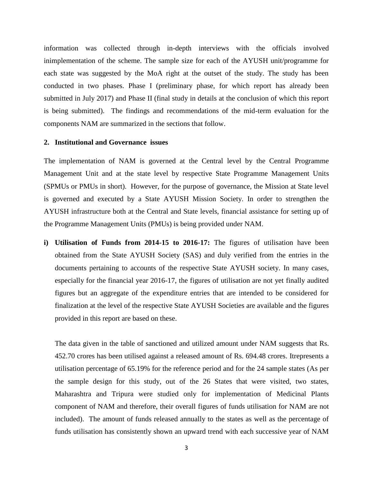information was collected through in-depth interviews with the officials involved inimplementation of the scheme. The sample size for each of the AYUSH unit/programme for each state was suggested by the MoA right at the outset of the study. The study has been conducted in two phases. Phase I (preliminary phase, for which report has already been submitted in July 2017) and Phase II (final study in details at the conclusion of which this report is being submitted). The findings and recommendations of the mid-term evaluation for the components NAM are summarized in the sections that follow.

#### **2. Institutional and Governance issues**

The implementation of NAM is governed at the Central level by the Central Programme Management Unit and at the state level by respective State Programme Management Units (SPMUs or PMUs in short). However, for the purpose of governance, the Mission at State level is governed and executed by a State AYUSH Mission Society. In order to strengthen the AYUSH infrastructure both at the Central and State levels, financial assistance for setting up of the Programme Management Units (PMUs) is being provided under NAM.

**i) Utilisation of Funds from 2014-15 to 2016-17:** The figures of utilisation have been obtained from the State AYUSH Society (SAS) and duly verified from the entries in the documents pertaining to accounts of the respective State AYUSH society. In many cases, especially for the financial year 2016-17, the figures of utilisation are not yet finally audited figures but an aggregate of the expenditure entries that are intended to be considered for finalization at the level of the respective State AYUSH Societies are available and the figures provided in this report are based on these.

The data given in the table of sanctioned and utilized amount under NAM suggests that Rs. 452.70 crores has been utilised against a released amount of Rs. 694.48 crores. Itrepresents a utilisation percentage of 65.19% for the reference period and for the 24 sample states (As per the sample design for this study, out of the 26 States that were visited, two states, Maharashtra and Tripura were studied only for implementation of Medicinal Plants component of NAM and therefore, their overall figures of funds utilisation for NAM are not included). The amount of funds released annually to the states as well as the percentage of funds utilisation has consistently shown an upward trend with each successive year of NAM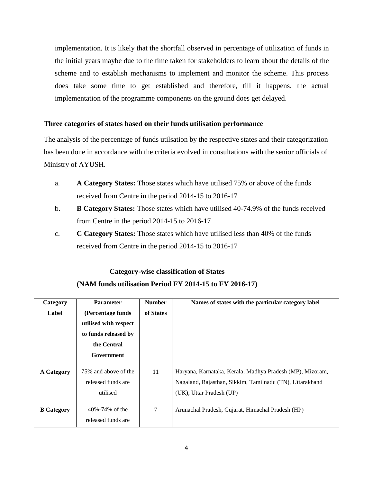implementation. It is likely that the shortfall observed in percentage of utilization of funds in the initial years maybe due to the time taken for stakeholders to learn about the details of the scheme and to establish mechanisms to implement and monitor the scheme. This process does take some time to get established and therefore, till it happens, the actual implementation of the programme components on the ground does get delayed.

## **Three categories of states based on their funds utilisation performance**

The analysis of the percentage of funds utilsation by the respective states and their categorization has been done in accordance with the criteria evolved in consultations with the senior officials of Ministry of AYUSH.

- a. **A Category States:** Those states which have utilised 75% or above of the funds received from Centre in the period 2014-15 to 2016-17
- b. **B Category States:** Those states which have utilised 40-74.9% of the funds received from Centre in the period 2014-15 to 2016-17
- c. **C Category States:** Those states which have utilised less than 40% of the funds received from Centre in the period 2014-15 to 2016-17

# **Category-wise classification of States (NAM funds utilisation Period FY 2014-15 to FY 2016-17)**

| Category          | <b>Parameter</b>      | <b>Number</b> | Names of states with the particular category label        |
|-------------------|-----------------------|---------------|-----------------------------------------------------------|
| Label             | (Percentage funds     | of States     |                                                           |
|                   | utilised with respect |               |                                                           |
|                   | to funds released by  |               |                                                           |
|                   | the Central           |               |                                                           |
|                   | Government            |               |                                                           |
|                   |                       |               |                                                           |
| <b>A Category</b> | 75% and above of the  | 11            | Haryana, Karnataka, Kerala, Madhya Pradesh (MP), Mizoram, |
|                   | released funds are    |               | Nagaland, Rajasthan, Sikkim, Tamilnadu (TN), Uttarakhand  |
|                   | utilised              |               | (UK), Uttar Pradesh (UP)                                  |
|                   |                       |               |                                                           |
| <b>B</b> Category | 40%-74% of the        | $\tau$        | Arunachal Pradesh, Gujarat, Himachal Pradesh (HP)         |
|                   | released funds are    |               |                                                           |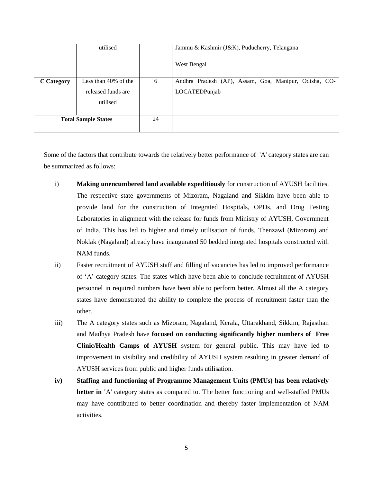|                            | utilised             |    | Jammu & Kashmir (J&K), Puducherry, Telangana          |
|----------------------------|----------------------|----|-------------------------------------------------------|
|                            |                      |    | West Bengal                                           |
| <b>C</b> Category          | Less than 40% of the | 6  | Andhra Pradesh (AP), Assam, Goa, Manipur, Odisha, CO- |
|                            | released funds are   |    | LOCATEDPunjab                                         |
|                            | utilised             |    |                                                       |
| <b>Total Sample States</b> |                      | 24 |                                                       |

Some of the factors that contribute towards the relatively better performance of 'A' category states are can be summarized as follows:

- i) **Making unencumbered land available expeditiously** for construction of AYUSH facilities. The respective state governments of Mizoram, Nagaland and Sikkim have been able to provide land for the construction of Integrated Hospitals, OPDs, and Drug Testing Laboratories in alignment with the release for funds from Ministry of AYUSH, Government of India. This has led to higher and timely utilisation of funds. Thenzawl (Mizoram) and Noklak (Nagaland) already have inaugurated 50 bedded integrated hospitals constructed with NAM funds.
- ii) Faster recruitment of AYUSH staff and filling of vacancies has led to improved performance of 'A' category states. The states which have been able to conclude recruitment of AYUSH personnel in required numbers have been able to perform better. Almost all the A category states have demonstrated the ability to complete the process of recruitment faster than the other.
- iii) The A category states such as Mizoram, Nagaland, Kerala, Uttarakhand, Sikkim, Rajasthan and Madhya Pradesh have **focused on conducting significantly higher numbers of Free Clinic/Health Camps of AYUSH** system for general public. This may have led to improvement in visibility and credibility of AYUSH system resulting in greater demand of AYUSH services from public and higher funds utilisation.
- **iv) Staffing and functioning of Programme Management Units (PMUs) has been relatively better in '**A' category states as compared to. The better functioning and well-staffed PMUs may have contributed to better coordination and thereby faster implementation of NAM activities.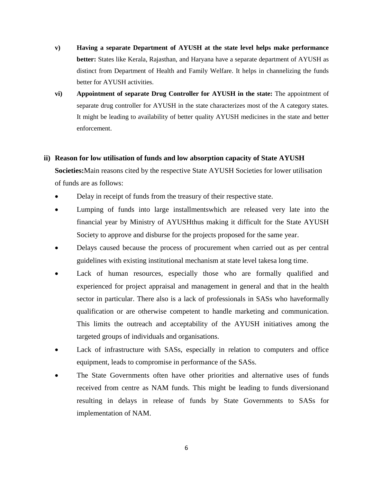- **v) Having a separate Department of AYUSH at the state level helps make performance better:** States like Kerala, Rajasthan, and Haryana have a separate department of AYUSH as distinct from Department of Health and Family Welfare. It helps in channelizing the funds better for AYUSH activities.
- **vi) Appointment of separate Drug Controller for AYUSH in the state:** The appointment of separate drug controller for AYUSH in the state characterizes most of the A category states. It might be leading to availability of better quality AYUSH medicines in the state and better enforcement.

## **ii) Reason for low utilisation of funds and low absorption capacity of State AYUSH**

**Societies:**Main reasons cited by the respective State AYUSH Societies for lower utilisation of funds are as follows:

- Delay in receipt of funds from the treasury of their respective state.
- Lumping of funds into large installmentswhich are released very late into the financial year by Ministry of AYUSHthus making it difficult for the State AYUSH Society to approve and disburse for the projects proposed for the same year.
- Delays caused because the process of procurement when carried out as per central guidelines with existing institutional mechanism at state level takesa long time.
- Lack of human resources, especially those who are formally qualified and experienced for project appraisal and management in general and that in the health sector in particular. There also is a lack of professionals in SASs who haveformally qualification or are otherwise competent to handle marketing and communication. This limits the outreach and acceptability of the AYUSH initiatives among the targeted groups of individuals and organisations.
- Lack of infrastructure with SASs, especially in relation to computers and office equipment, leads to compromise in performance of the SASs.
- The State Governments often have other priorities and alternative uses of funds received from centre as NAM funds. This might be leading to funds diversionand resulting in delays in release of funds by State Governments to SASs for implementation of NAM.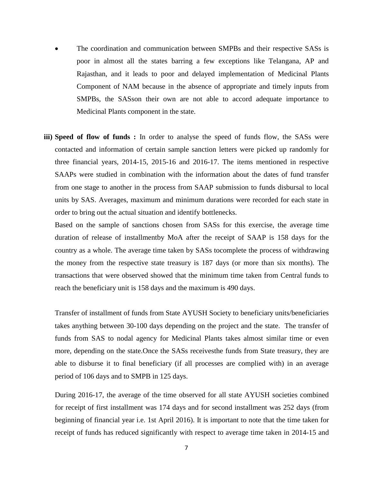- The coordination and communication between SMPBs and their respective SASs is poor in almost all the states barring a few exceptions like Telangana, AP and Rajasthan, and it leads to poor and delayed implementation of Medicinal Plants Component of NAM because in the absence of appropriate and timely inputs from SMPBs, the SASson their own are not able to accord adequate importance to Medicinal Plants component in the state.
- **iii) Speed of flow of funds :** In order to analyse the speed of funds flow, the SASs were contacted and information of certain sample sanction letters were picked up randomly for three financial years, 2014-15, 2015-16 and 2016-17. The items mentioned in respective SAAPs were studied in combination with the information about the dates of fund transfer from one stage to another in the process from SAAP submission to funds disbursal to local units by SAS. Averages, maximum and minimum durations were recorded for each state in order to bring out the actual situation and identify bottlenecks.

Based on the sample of sanctions chosen from SASs for this exercise, the average time duration of release of installmentby MoA after the receipt of SAAP is 158 days for the country as a whole. The average time taken by SASs tocomplete the process of withdrawing the money from the respective state treasury is 187 days (or more than six months). The transactions that were observed showed that the minimum time taken from Central funds to reach the beneficiary unit is 158 days and the maximum is 490 days.

Transfer of installment of funds from State AYUSH Society to beneficiary units/beneficiaries takes anything between 30-100 days depending on the project and the state. The transfer of funds from SAS to nodal agency for Medicinal Plants takes almost similar time or even more, depending on the state.Once the SASs receivesthe funds from State treasury, they are able to disburse it to final beneficiary (if all processes are complied with) in an average period of 106 days and to SMPB in 125 days.

During 2016-17, the average of the time observed for all state AYUSH societies combined for receipt of first installment was 174 days and for second installment was 252 days (from beginning of financial year i.e. 1st April 2016). It is important to note that the time taken for receipt of funds has reduced significantly with respect to average time taken in 2014-15 and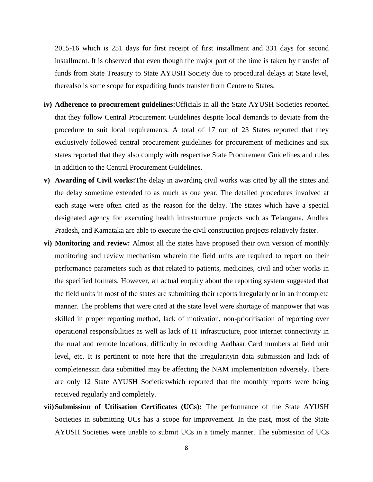2015-16 which is 251 days for first receipt of first installment and 331 days for second installment. It is observed that even though the major part of the time is taken by transfer of funds from State Treasury to State AYUSH Society due to procedural delays at State level, therealso is some scope for expediting funds transfer from Centre to States.

- **iv) Adherence to procurement guidelines:**Officials in all the State AYUSH Societies reported that they follow Central Procurement Guidelines despite local demands to deviate from the procedure to suit local requirements. A total of 17 out of 23 States reported that they exclusively followed central procurement guidelines for procurement of medicines and six states reported that they also comply with respective State Procurement Guidelines and rules in addition to the Central Procurement Guidelines.
- **v) Awarding of Civil works:**The delay in awarding civil works was cited by all the states and the delay sometime extended to as much as one year. The detailed procedures involved at each stage were often cited as the reason for the delay. The states which have a special designated agency for executing health infrastructure projects such as Telangana, Andhra Pradesh, and Karnataka are able to execute the civil construction projects relatively faster.
- **vi) Monitoring and review:** Almost all the states have proposed their own version of monthly monitoring and review mechanism wherein the field units are required to report on their performance parameters such as that related to patients, medicines, civil and other works in the specified formats. However, an actual enquiry about the reporting system suggested that the field units in most of the states are submitting their reports irregularly or in an incomplete manner. The problems that were cited at the state level were shortage of manpower that was skilled in proper reporting method, lack of motivation, non-prioritisation of reporting over operational responsibilities as well as lack of IT infrastructure, poor internet connectivity in the rural and remote locations, difficulty in recording Aadhaar Card numbers at field unit level, etc. It is pertinent to note here that the irregularityin data submission and lack of completenessin data submitted may be affecting the NAM implementation adversely. There are only 12 State AYUSH Societieswhich reported that the monthly reports were being received regularly and completely.
- **vii)Submission of Utilisation Certificates (UCs):** The performance of the State AYUSH Societies in submitting UCs has a scope for improvement. In the past, most of the State AYUSH Societies were unable to submit UCs in a timely manner. The submission of UCs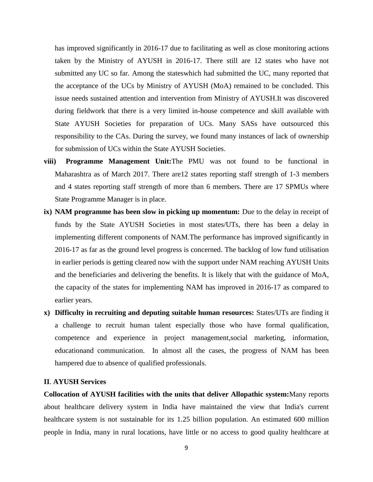has improved significantly in 2016-17 due to facilitating as well as close monitoring actions taken by the Ministry of AYUSH in 2016-17. There still are 12 states who have not submitted any UC so far. Among the stateswhich had submitted the UC, many reported that the acceptance of the UCs by Ministry of AYUSH (MoA) remained to be concluded. This issue needs sustained attention and intervention from Ministry of AYUSH.It was discovered during fieldwork that there is a very limited in-house competence and skill available with State AYUSH Societies for preparation of UCs. Many SASs have outsourced this responsibility to the CAs. During the survey, we found many instances of lack of ownership for submission of UCs within the State AYUSH Societies.

- **viii) Programme Management Unit:**The PMU was not found to be functional in Maharashtra as of March 2017. There are12 states reporting staff strength of 1-3 members and 4 states reporting staff strength of more than 6 members. There are 17 SPMUs where State Programme Manager is in place.
- **ix) NAM programme has been slow in picking up momentum:** Due to the delay in receipt of funds by the State AYUSH Societies in most states/UTs, there has been a delay in implementing different components of NAM.The performance has improved significantly in 2016-17 as far as the ground level progress is concerned. The backlog of low fund utilisation in earlier periods is getting cleared now with the support under NAM reaching AYUSH Units and the beneficiaries and delivering the benefits. It is likely that with the guidance of MoA, the capacity of the states for implementing NAM has improved in 2016-17 as compared to earlier years.
- **x) Difficulty in recruiting and deputing suitable human resources:** States/UTs are finding it a challenge to recruit human talent especially those who have formal qualification, competence and experience in project management,social marketing, information, educationand communication. In almost all the cases, the progress of NAM has been hampered due to absence of qualified professionals.

#### **II**. **AYUSH Services**

**Collocation of AYUSH facilities with the units that deliver Allopathic system:**Many reports about healthcare delivery system in India have maintained the view that India's current healthcare system is not sustainable for its 1.25 billion population. An estimated 600 million people in India, many in rural locations, have little or no access to good quality healthcare at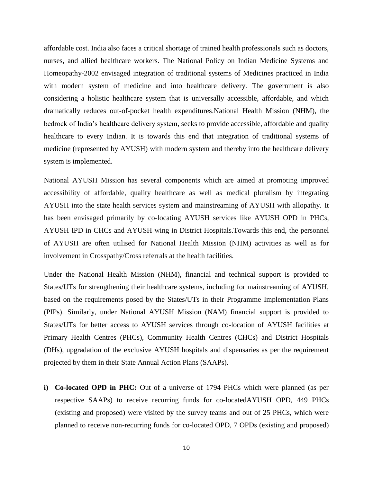affordable cost. India also faces a critical shortage of trained health professionals such as doctors, nurses, and allied healthcare workers. The National Policy on Indian Medicine Systems and Homeopathy-2002 envisaged integration of traditional systems of Medicines practiced in India with modern system of medicine and into healthcare delivery. The government is also considering a holistic healthcare system that is universally accessible, affordable, and which dramatically reduces out-of-pocket health expenditures.National Health Mission (NHM), the bedrock of India's healthcare delivery system, seeks to provide accessible, affordable and quality healthcare to every Indian. It is towards this end that integration of traditional systems of medicine (represented by AYUSH) with modern system and thereby into the healthcare delivery system is implemented.

National AYUSH Mission has several components which are aimed at promoting improved accessibility of affordable, quality healthcare as well as medical pluralism by integrating AYUSH into the state health services system and mainstreaming of AYUSH with allopathy. It has been envisaged primarily by co-locating AYUSH services like AYUSH OPD in PHCs, AYUSH IPD in CHCs and AYUSH wing in District Hospitals.Towards this end, the personnel of AYUSH are often utilised for National Health Mission (NHM) activities as well as for involvement in Crosspathy/Cross referrals at the health facilities.

Under the National Health Mission (NHM), financial and technical support is provided to States/UTs for strengthening their healthcare systems, including for mainstreaming of AYUSH, based on the requirements posed by the States/UTs in their Programme Implementation Plans (PIPs). Similarly, under National AYUSH Mission (NAM) financial support is provided to States/UTs for better access to AYUSH services through co-location of AYUSH facilities at Primary Health Centres (PHCs), Community Health Centres (CHCs) and District Hospitals (DHs), upgradation of the exclusive AYUSH hospitals and dispensaries as per the requirement projected by them in their State Annual Action Plans (SAAPs).

**i) Co-located OPD in PHC:** Out of a universe of 1794 PHCs which were planned (as per respective SAAPs) to receive recurring funds for co-locatedAYUSH OPD, 449 PHCs (existing and proposed) were visited by the survey teams and out of 25 PHCs, which were planned to receive non-recurring funds for co-located OPD, 7 OPDs (existing and proposed)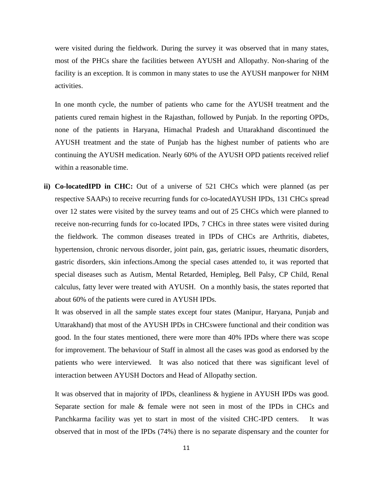were visited during the fieldwork. During the survey it was observed that in many states, most of the PHCs share the facilities between AYUSH and Allopathy. Non-sharing of the facility is an exception. It is common in many states to use the AYUSH manpower for NHM activities.

In one month cycle, the number of patients who came for the AYUSH treatment and the patients cured remain highest in the Rajasthan, followed by Punjab. In the reporting OPDs, none of the patients in Haryana, Himachal Pradesh and Uttarakhand discontinued the AYUSH treatment and the state of Punjab has the highest number of patients who are continuing the AYUSH medication. Nearly 60% of the AYUSH OPD patients received relief within a reasonable time.

**ii) Co-locatedIPD in CHC:** Out of a universe of 521 CHCs which were planned (as per respective SAAPs) to receive recurring funds for co-locatedAYUSH IPDs, 131 CHCs spread over 12 states were visited by the survey teams and out of 25 CHCs which were planned to receive non-recurring funds for co-located IPDs, 7 CHCs in three states were visited during the fieldwork. The common diseases treated in IPDs of CHCs are Arthritis, diabetes, hypertension, chronic nervous disorder, joint pain, gas, geriatric issues, rheumatic disorders, gastric disorders, skin infections.Among the special cases attended to, it was reported that special diseases such as Autism, Mental Retarded, Hemipleg, Bell Palsy, CP Child, Renal calculus, fatty lever were treated with AYUSH. On a monthly basis, the states reported that about 60% of the patients were cured in AYUSH IPDs.

It was observed in all the sample states except four states (Manipur, Haryana, Punjab and Uttarakhand) that most of the AYUSH IPDs in CHCswere functional and their condition was good. In the four states mentioned, there were more than 40% IPDs where there was scope for improvement. The behaviour of Staff in almost all the cases was good as endorsed by the patients who were interviewed. It was also noticed that there was significant level of interaction between AYUSH Doctors and Head of Allopathy section.

It was observed that in majority of IPDs, cleanliness & hygiene in AYUSH IPDs was good. Separate section for male & female were not seen in most of the IPDs in CHCs and Panchkarma facility was yet to start in most of the visited CHC-IPD centers. It was observed that in most of the IPDs (74%) there is no separate dispensary and the counter for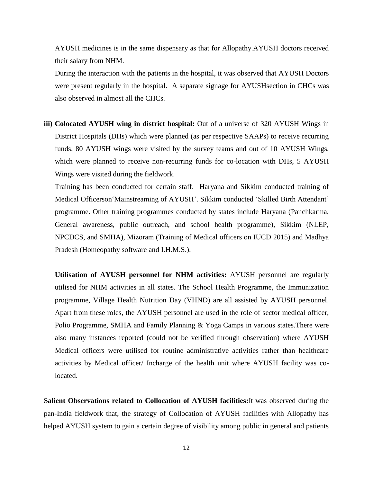AYUSH medicines is in the same dispensary as that for Allopathy.AYUSH doctors received their salary from NHM.

During the interaction with the patients in the hospital, it was observed that AYUSH Doctors were present regularly in the hospital. A separate signage for AYUSHsection in CHCs was also observed in almost all the CHCs.

**iii) Colocated AYUSH wing in district hospital:** Out of a universe of 320 AYUSH Wings in District Hospitals (DHs) which were planned (as per respective SAAPs) to receive recurring funds, 80 AYUSH wings were visited by the survey teams and out of 10 AYUSH Wings, which were planned to receive non-recurring funds for co-location with DHs, 5 AYUSH Wings were visited during the fieldwork.

Training has been conducted for certain staff. Haryana and Sikkim conducted training of Medical Officerson'Mainstreaming of AYUSH'. Sikkim conducted 'Skilled Birth Attendant' programme. Other training programmes conducted by states include Haryana (Panchkarma, General awareness, public outreach, and school health programme), Sikkim (NLEP, NPCDCS, and SMHA), Mizoram (Training of Medical officers on IUCD 2015) and Madhya Pradesh (Homeopathy software and I.H.M.S.).

**Utilisation of AYUSH personnel for NHM activities:** AYUSH personnel are regularly utilised for NHM activities in all states. The School Health Programme, the Immunization programme, Village Health Nutrition Day (VHND) are all assisted by AYUSH personnel. Apart from these roles, the AYUSH personnel are used in the role of sector medical officer, Polio Programme, SMHA and Family Planning & Yoga Camps in various states.There were also many instances reported (could not be verified through observation) where AYUSH Medical officers were utilised for routine administrative activities rather than healthcare activities by Medical officer/ Incharge of the health unit where AYUSH facility was colocated.

**Salient Observations related to Collocation of AYUSH facilities:**It was observed during the pan-India fieldwork that, the strategy of Collocation of AYUSH facilities with Allopathy has helped AYUSH system to gain a certain degree of visibility among public in general and patients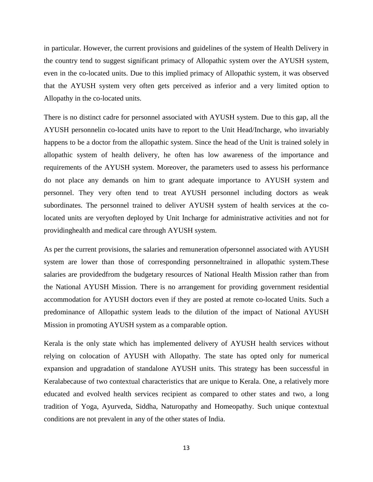in particular. However, the current provisions and guidelines of the system of Health Delivery in the country tend to suggest significant primacy of Allopathic system over the AYUSH system, even in the co-located units. Due to this implied primacy of Allopathic system, it was observed that the AYUSH system very often gets perceived as inferior and a very limited option to Allopathy in the co-located units.

There is no distinct cadre for personnel associated with AYUSH system. Due to this gap, all the AYUSH personnelin co-located units have to report to the Unit Head/Incharge, who invariably happens to be a doctor from the allopathic system. Since the head of the Unit is trained solely in allopathic system of health delivery, he often has low awareness of the importance and requirements of the AYUSH system. Moreover, the parameters used to assess his performance do not place any demands on him to grant adequate importance to AYUSH system and personnel. They very often tend to treat AYUSH personnel including doctors as weak subordinates. The personnel trained to deliver AYUSH system of health services at the colocated units are veryoften deployed by Unit Incharge for administrative activities and not for providinghealth and medical care through AYUSH system.

As per the current provisions, the salaries and remuneration ofpersonnel associated with AYUSH system are lower than those of corresponding personneltrained in allopathic system.These salaries are providedfrom the budgetary resources of National Health Mission rather than from the National AYUSH Mission. There is no arrangement for providing government residential accommodation for AYUSH doctors even if they are posted at remote co-located Units. Such a predominance of Allopathic system leads to the dilution of the impact of National AYUSH Mission in promoting AYUSH system as a comparable option.

Kerala is the only state which has implemented delivery of AYUSH health services without relying on colocation of AYUSH with Allopathy. The state has opted only for numerical expansion and upgradation of standalone AYUSH units. This strategy has been successful in Keralabecause of two contextual characteristics that are unique to Kerala. One, a relatively more educated and evolved health services recipient as compared to other states and two, a long tradition of Yoga, Ayurveda, Siddha, Naturopathy and Homeopathy. Such unique contextual conditions are not prevalent in any of the other states of India.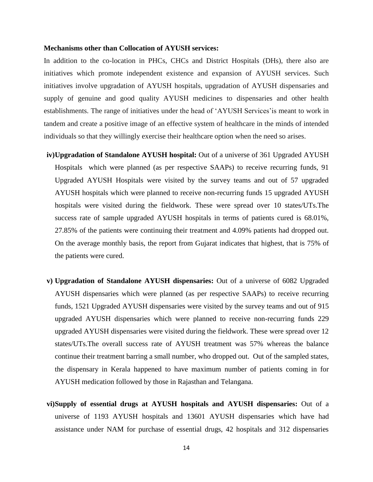#### **Mechanisms other than Collocation of AYUSH services:**

In addition to the co-location in PHCs, CHCs and District Hospitals (DHs), there also are initiatives which promote independent existence and expansion of AYUSH services. Such initiatives involve upgradation of AYUSH hospitals, upgradation of AYUSH dispensaries and supply of genuine and good quality AYUSH medicines to dispensaries and other health establishments. The range of initiatives under the head of 'AYUSH Services'is meant to work in tandem and create a positive image of an effective system of healthcare in the minds of intended individuals so that they willingly exercise their healthcare option when the need so arises.

- **iv)Upgradation of Standalone AYUSH hospital:** Out of a universe of 361 Upgraded AYUSH Hospitals which were planned (as per respective SAAPs) to receive recurring funds, 91 Upgraded AYUSH Hospitals were visited by the survey teams and out of 57 upgraded AYUSH hospitals which were planned to receive non-recurring funds 15 upgraded AYUSH hospitals were visited during the fieldwork. These were spread over 10 states/UTs.The success rate of sample upgraded AYUSH hospitals in terms of patients cured is 68.01%, 27.85% of the patients were continuing their treatment and 4.09% patients had dropped out. On the average monthly basis, the report from Gujarat indicates that highest, that is 75% of the patients were cured.
- **v) Upgradation of Standalone AYUSH dispensaries:** Out of a universe of 6082 Upgraded AYUSH dispensaries which were planned (as per respective SAAPs) to receive recurring funds, 1521 Upgraded AYUSH dispensaries were visited by the survey teams and out of 915 upgraded AYUSH dispensaries which were planned to receive non-recurring funds 229 upgraded AYUSH dispensaries were visited during the fieldwork. These were spread over 12 states/UTs.The overall success rate of AYUSH treatment was 57% whereas the balance continue their treatment barring a small number, who dropped out. Out of the sampled states, the dispensary in Kerala happened to have maximum number of patients coming in for AYUSH medication followed by those in Rajasthan and Telangana.
- **vi)Supply of essential drugs at AYUSH hospitals and AYUSH dispensaries:** Out of a universe of 1193 AYUSH hospitals and 13601 AYUSH dispensaries which have had assistance under NAM for purchase of essential drugs, 42 hospitals and 312 dispensaries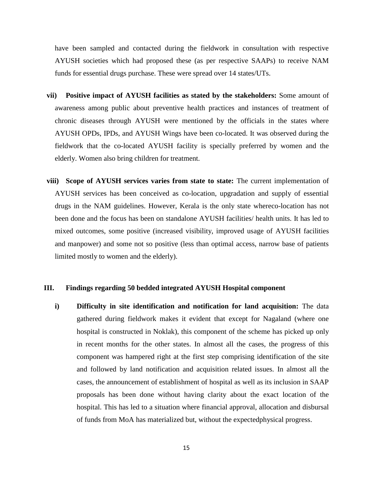have been sampled and contacted during the fieldwork in consultation with respective AYUSH societies which had proposed these (as per respective SAAPs) to receive NAM funds for essential drugs purchase. These were spread over 14 states/UTs.

- **vii) Positive impact of AYUSH facilities as stated by the stakeholders:** Some amount of awareness among public about preventive health practices and instances of treatment of chronic diseases through AYUSH were mentioned by the officials in the states where AYUSH OPDs, IPDs, and AYUSH Wings have been co-located. It was observed during the fieldwork that the co-located AYUSH facility is specially preferred by women and the elderly. Women also bring children for treatment.
- **viii) Scope of AYUSH services varies from state to state:** The current implementation of AYUSH services has been conceived as co-location, upgradation and supply of essential drugs in the NAM guidelines. However, Kerala is the only state whereco-location has not been done and the focus has been on standalone AYUSH facilities/ health units. It has led to mixed outcomes, some positive (increased visibility, improved usage of AYUSH facilities and manpower) and some not so positive (less than optimal access, narrow base of patients limited mostly to women and the elderly).

#### **III. Findings regarding 50 bedded integrated AYUSH Hospital component**

**i) Difficulty in site identification and notification for land acquisition:** The data gathered during fieldwork makes it evident that except for Nagaland (where one hospital is constructed in Noklak), this component of the scheme has picked up only in recent months for the other states. In almost all the cases, the progress of this component was hampered right at the first step comprising identification of the site and followed by land notification and acquisition related issues. In almost all the cases, the announcement of establishment of hospital as well as its inclusion in SAAP proposals has been done without having clarity about the exact location of the hospital. This has led to a situation where financial approval, allocation and disbursal of funds from MoA has materialized but, without the expectedphysical progress.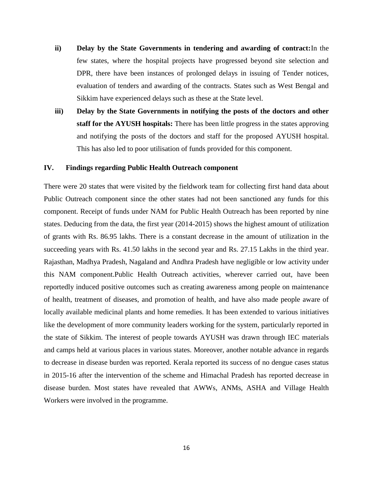- **ii) Delay by the State Governments in tendering and awarding of contract:**In the few states, where the hospital projects have progressed beyond site selection and DPR, there have been instances of prolonged delays in issuing of Tender notices, evaluation of tenders and awarding of the contracts. States such as West Bengal and Sikkim have experienced delays such as these at the State level.
- **iii) Delay by the State Governments in notifying the posts of the doctors and other staff for the AYUSH hospitals:** There has been little progress in the states approving and notifying the posts of the doctors and staff for the proposed AYUSH hospital. This has also led to poor utilisation of funds provided for this component.

#### **IV. Findings regarding Public Health Outreach component**

There were 20 states that were visited by the fieldwork team for collecting first hand data about Public Outreach component since the other states had not been sanctioned any funds for this component. Receipt of funds under NAM for Public Health Outreach has been reported by nine states. Deducing from the data, the first year (2014-2015) shows the highest amount of utilization of grants with Rs. 86.95 lakhs. There is a constant decrease in the amount of utilization in the succeeding years with Rs. 41.50 lakhs in the second year and Rs. 27.15 Lakhs in the third year. Rajasthan, Madhya Pradesh, Nagaland and Andhra Pradesh have negligible or low activity under this NAM component.Public Health Outreach activities, wherever carried out, have been reportedly induced positive outcomes such as creating awareness among people on maintenance of health, treatment of diseases, and promotion of health, and have also made people aware of locally available medicinal plants and home remedies. It has been extended to various initiatives like the development of more community leaders working for the system, particularly reported in the state of Sikkim. The interest of people towards AYUSH was drawn through IEC materials and camps held at various places in various states. Moreover, another notable advance in regards to decrease in disease burden was reported. Kerala reported its success of no dengue cases status in 2015-16 after the intervention of the scheme and Himachal Pradesh has reported decrease in disease burden. Most states have revealed that AWWs, ANMs, ASHA and Village Health Workers were involved in the programme.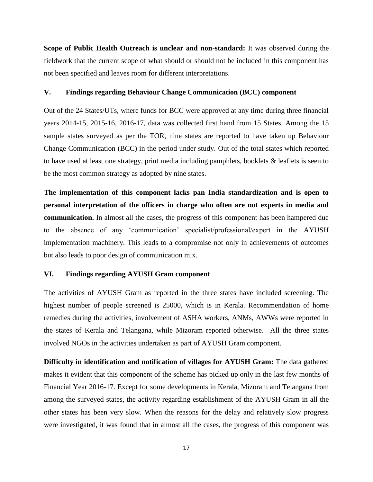**Scope of Public Health Outreach is unclear and non-standard:** It was observed during the fieldwork that the current scope of what should or should not be included in this component has not been specified and leaves room for different interpretations.

#### **V. Findings regarding Behaviour Change Communication (BCC) component**

Out of the 24 States/UTs, where funds for BCC were approved at any time during three financial years 2014-15, 2015-16, 2016-17, data was collected first hand from 15 States. Among the 15 sample states surveyed as per the TOR, nine states are reported to have taken up Behaviour Change Communication (BCC) in the period under study. Out of the total states which reported to have used at least one strategy, print media including pamphlets, booklets & leaflets is seen to be the most common strategy as adopted by nine states.

**The implementation of this component lacks pan India standardization and is open to personal interpretation of the officers in charge who often are not experts in media and communication.** In almost all the cases, the progress of this component has been hampered due to the absence of any 'communication' specialist/professional/expert in the AYUSH implementation machinery. This leads to a compromise not only in achievements of outcomes but also leads to poor design of communication mix.

#### **VI. Findings regarding AYUSH Gram component**

The activities of AYUSH Gram as reported in the three states have included screening. The highest number of people screened is 25000, which is in Kerala. Recommendation of home remedies during the activities, involvement of ASHA workers, ANMs, AWWs were reported in the states of Kerala and Telangana, while Mizoram reported otherwise. All the three states involved NGOs in the activities undertaken as part of AYUSH Gram component.

**Difficulty in identification and notification of villages for AYUSH Gram:** The data gathered makes it evident that this component of the scheme has picked up only in the last few months of Financial Year 2016-17. Except for some developments in Kerala, Mizoram and Telangana from among the surveyed states, the activity regarding establishment of the AYUSH Gram in all the other states has been very slow. When the reasons for the delay and relatively slow progress were investigated, it was found that in almost all the cases, the progress of this component was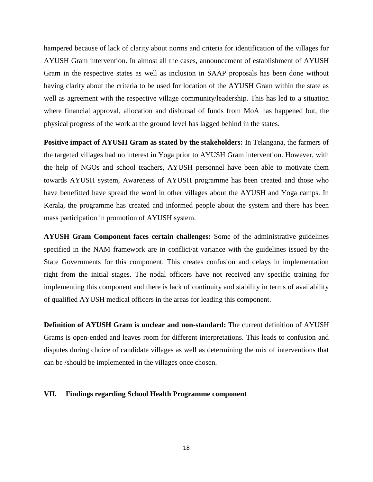hampered because of lack of clarity about norms and criteria for identification of the villages for AYUSH Gram intervention. In almost all the cases, announcement of establishment of AYUSH Gram in the respective states as well as inclusion in SAAP proposals has been done without having clarity about the criteria to be used for location of the AYUSH Gram within the state as well as agreement with the respective village community/leadership. This has led to a situation where financial approval, allocation and disbursal of funds from MoA has happened but, the physical progress of the work at the ground level has lagged behind in the states.

**Positive impact of AYUSH Gram as stated by the stakeholders:** In Telangana, the farmers of the targeted villages had no interest in Yoga prior to AYUSH Gram intervention. However, with the help of NGOs and school teachers, AYUSH personnel have been able to motivate them towards AYUSH system, Awareness of AYUSH programme has been created and those who have benefitted have spread the word in other villages about the AYUSH and Yoga camps. In Kerala, the programme has created and informed people about the system and there has been mass participation in promotion of AYUSH system.

**AYUSH Gram Component faces certain challenges:** Some of the administrative guidelines specified in the NAM framework are in conflict/at variance with the guidelines issued by the State Governments for this component. This creates confusion and delays in implementation right from the initial stages. The nodal officers have not received any specific training for implementing this component and there is lack of continuity and stability in terms of availability of qualified AYUSH medical officers in the areas for leading this component.

**Definition of AYUSH Gram is unclear and non-standard:** The current definition of AYUSH Grams is open-ended and leaves room for different interpretations. This leads to confusion and disputes during choice of candidate villages as well as determining the mix of interventions that can be /should be implemented in the villages once chosen.

#### **VII. Findings regarding School Health Programme component**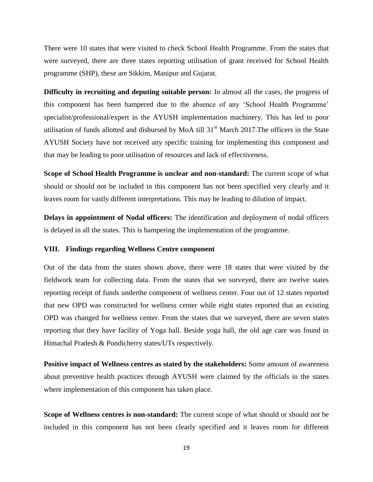There were 10 states that were visited to check School Health Programme. From the states that were surveyed, there are three states reporting utilisation of grant received for School Health programme (SHP), these are Sikkim, Manipur and Gujarat.

**Difficulty in recruiting and deputing suitable person:** In almost all the cases, the progress of this component has been hampered due to the absence of any 'School Health Programme' specialist/professional/expert in the AYUSH implementation machinery. This has led to poor utilisation of funds allotted and disbursed by MoA till  $31<sup>st</sup>$  March 2017. The officers in the State AYUSH Society have not received any specific training for implementing this component and that may be leading to poor utilisation of resources and lack of effectiveness.

**Scope of School Health Programme is unclear and non-standard:** The current scope of what should or should not be included in this component has not been specified very clearly and it leaves room for vastly different interpretations. This may be leading to dilution of impact.

**Delays in appointment of Nodal officers:** The identification and deployment of nodal officers is delayed in all the states. This is hampering the implementation of the programme.

#### **VIII. Findings regarding Wellness Centre component**

Out of the data from the states shown above, there were 18 states that were visited by the fieldwork team for collecting data. From the states that we surveyed, there are twelve states reporting receipt of funds underthe component of wellness center. Four out of 12 states reported that new OPD was constructed for wellness center while eight states reported that an existing OPD was changed for wellness center. From the states that we surveyed, there are seven states reporting that they have facility of Yoga hall. Beside yoga hall, the old age care was found in Himachal Pradesh & Pondicherry states/UTs respectively.

**Positive impact of Wellness centres as stated by the stakeholders:** Some amount of awareness about preventive health practices through AYUSH were claimed by the officials in the states where implementation of this component has taken place.

**Scope of Wellness centres is non-standard:** The current scope of what should or should not be included in this component has not been clearly specified and it leaves room for different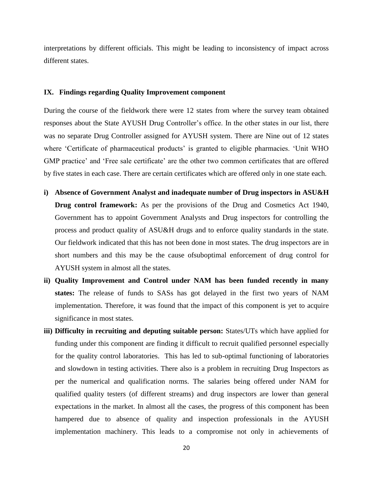interpretations by different officials. This might be leading to inconsistency of impact across different states.

#### **IX. Findings regarding Quality Improvement component**

During the course of the fieldwork there were 12 states from where the survey team obtained responses about the State AYUSH Drug Controller's office. In the other states in our list, there was no separate Drug Controller assigned for AYUSH system. There are Nine out of 12 states where 'Certificate of pharmaceutical products' is granted to eligible pharmacies. 'Unit WHO GMP practice' and 'Free sale certificate' are the other two common certificates that are offered by five states in each case. There are certain certificates which are offered only in one state each.

- **i) Absence of Government Analyst and inadequate number of Drug inspectors in ASU&H Drug control framework:** As per the provisions of the Drug and Cosmetics Act 1940, Government has to appoint Government Analysts and Drug inspectors for controlling the process and product quality of ASU&H drugs and to enforce quality standards in the state. Our fieldwork indicated that this has not been done in most states. The drug inspectors are in short numbers and this may be the cause ofsuboptimal enforcement of drug control for AYUSH system in almost all the states.
- **ii) Quality Improvement and Control under NAM has been funded recently in many states:** The release of funds to SASs has got delayed in the first two years of NAM implementation. Therefore, it was found that the impact of this component is yet to acquire significance in most states.
- **iii) Difficulty in recruiting and deputing suitable person:** States/UTs which have applied for funding under this component are finding it difficult to recruit qualified personnel especially for the quality control laboratories. This has led to sub-optimal functioning of laboratories and slowdown in testing activities. There also is a problem in recruiting Drug Inspectors as per the numerical and qualification norms. The salaries being offered under NAM for qualified quality testers (of different streams) and drug inspectors are lower than general expectations in the market. In almost all the cases, the progress of this component has been hampered due to absence of quality and inspection professionals in the AYUSH implementation machinery. This leads to a compromise not only in achievements of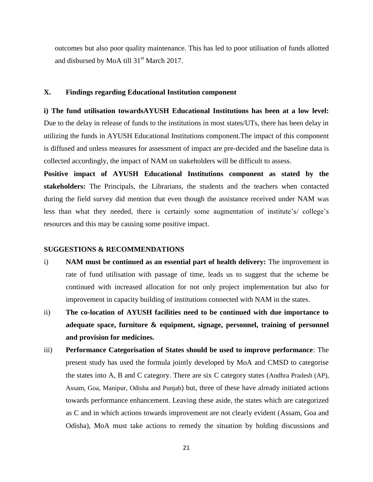outcomes but also poor quality maintenance. This has led to poor utilisation of funds allotted and disbursed by MoA till  $31<sup>st</sup>$  March 2017.

#### **X. Findings regarding Educational Institution component**

**i) The fund utilisation towardsAYUSH Educational Institutions has been at a low level:** Due to the delay in release of funds to the institutions in most states/UTs, there has been delay in utilizing the funds in AYUSH Educational Institutions component.The impact of this component is diffused and unless measures for assessment of impact are pre-decided and the baseline data is collected accordingly, the impact of NAM on stakeholders will be difficult to assess.

**Positive impact of AYUSH Educational Institutions component as stated by the stakeholders:** The Principals, the Librarians, the students and the teachers when contacted during the field survey did mention that even though the assistance received under NAM was less than what they needed, there is certainly some augmentation of institute's/ college's resources and this may be causing some positive impact.

#### **SUGGESTIONS & RECOMMENDATIONS**

- i) **NAM must be continued as an essential part of health delivery:** The improvement in rate of fund utilisation with passage of time, leads us to suggest that the scheme be continued with increased allocation for not only project implementation but also for improvement in capacity building of institutions connected with NAM in the states.
- ii) **The co-location of AYUSH facilities need to be continued with due importance to adequate space, furniture & equipment, signage, personnel, training of personnel and provision for medicines.**
- iii) **Performance Categorisation of States should be used to improve performance**: The present study has used the formula jointly developed by MoA and CMSD to categorise the states into A, B and C category. There are six C category states (Andhra Pradesh (AP), Assam, Goa, Manipur, Odisha and Punjab) but, three of these have already initiated actions towards performance enhancement. Leaving these aside, the states which are categorized as C and in which actions towards improvement are not clearly evident (Assam, Goa and Odisha), MoA must take actions to remedy the situation by holding discussions and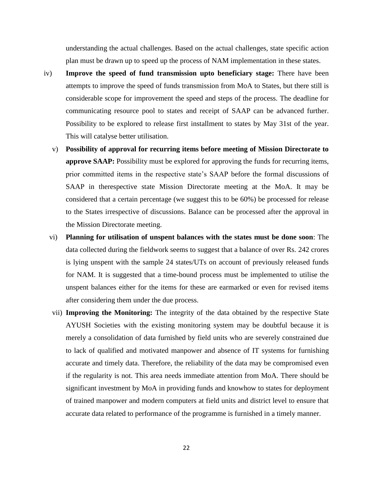understanding the actual challenges. Based on the actual challenges, state specific action plan must be drawn up to speed up the process of NAM implementation in these states.

- iv) **Improve the speed of fund transmission upto beneficiary stage:** There have been attempts to improve the speed of funds transmission from MoA to States, but there still is considerable scope for improvement the speed and steps of the process. The deadline for communicating resource pool to states and receipt of SAAP can be advanced further. Possibility to be explored to release first installment to states by May 31st of the year. This will catalyse better utilisation.
	- v) **Possibility of approval for recurring items before meeting of Mission Directorate to approve SAAP:** Possibility must be explored for approving the funds for recurring items, prior committed items in the respective state's SAAP before the formal discussions of SAAP in therespective state Mission Directorate meeting at the MoA. It may be considered that a certain percentage (we suggest this to be 60%) be processed for release to the States irrespective of discussions. Balance can be processed after the approval in the Mission Directorate meeting.
	- vi) **Planning for utilisation of unspent balances with the states must be done soon**: The data collected during the fieldwork seems to suggest that a balance of over Rs. 242 crores is lying unspent with the sample 24 states/UTs on account of previously released funds for NAM. It is suggested that a time-bound process must be implemented to utilise the unspent balances either for the items for these are earmarked or even for revised items after considering them under the due process.
	- vii) **Improving the Monitoring:** The integrity of the data obtained by the respective State AYUSH Societies with the existing monitoring system may be doubtful because it is merely a consolidation of data furnished by field units who are severely constrained due to lack of qualified and motivated manpower and absence of IT systems for furnishing accurate and timely data. Therefore, the reliability of the data may be compromised even if the regularity is not. This area needs immediate attention from MoA. There should be significant investment by MoA in providing funds and knowhow to states for deployment of trained manpower and modern computers at field units and district level to ensure that accurate data related to performance of the programme is furnished in a timely manner.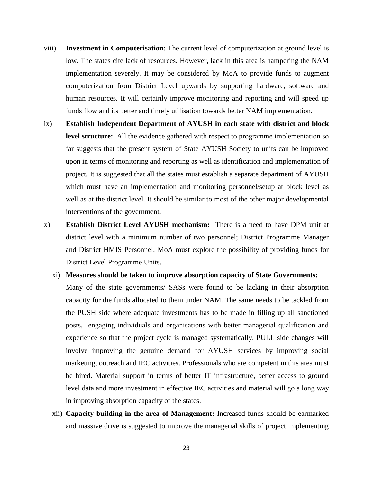- viii) **Investment in Computerisation**: The current level of computerization at ground level is low. The states cite lack of resources. However, lack in this area is hampering the NAM implementation severely. It may be considered by MoA to provide funds to augment computerization from District Level upwards by supporting hardware, software and human resources. It will certainly improve monitoring and reporting and will speed up funds flow and its better and timely utilisation towards better NAM implementation.
- ix) **Establish Independent Department of AYUSH in each state with district and block level structure:** All the evidence gathered with respect to programme implementation so far suggests that the present system of State AYUSH Society to units can be improved upon in terms of monitoring and reporting as well as identification and implementation of project. It is suggested that all the states must establish a separate department of AYUSH which must have an implementation and monitoring personnel/setup at block level as well as at the district level. It should be similar to most of the other major developmental interventions of the government.
- x) **Establish District Level AYUSH mechanism:** There is a need to have DPM unit at district level with a minimum number of two personnel; District Programme Manager and District HMIS Personnel. MoA must explore the possibility of providing funds for District Level Programme Units.
	- xi) **Measures should be taken to improve absorption capacity of State Governments:** Many of the state governments/ SASs were found to be lacking in their absorption capacity for the funds allocated to them under NAM. The same needs to be tackled from the PUSH side where adequate investments has to be made in filling up all sanctioned posts, engaging individuals and organisations with better managerial qualification and experience so that the project cycle is managed systematically. PULL side changes will involve improving the genuine demand for AYUSH services by improving social marketing, outreach and IEC activities. Professionals who are competent in this area must be hired. Material support in terms of better IT infrastructure, better access to ground level data and more investment in effective IEC activities and material will go a long way in improving absorption capacity of the states.
	- xii) **Capacity building in the area of Management:** Increased funds should be earmarked and massive drive is suggested to improve the managerial skills of project implementing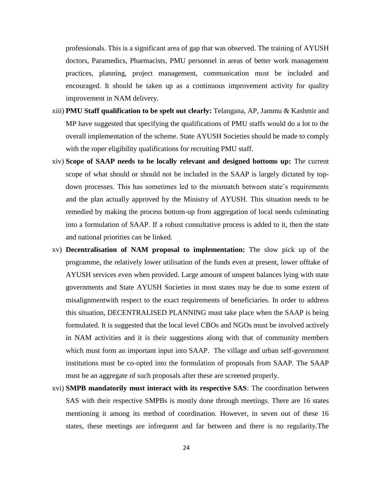professionals. This is a significant area of gap that was observed. The training of AYUSH doctors, Paramedics, Pharmacists, PMU personnel in areas of better work management practices, planning, project management, communication must be included and encouraged. It should be taken up as a continuous improvement activity for quality improvement in NAM delivery.

- xiii) **PMU Staff qualification to be spelt out clearly:** Telangana, AP, Jammu & Kashmir and MP have suggested that specifying the qualifications of PMU staffs would do a lot to the overall implementation of the scheme. State AYUSH Societies should be made to comply with the roper eligibility qualifications for recruiting PMU staff.
- xiv) **Scope of SAAP needs to be locally relevant and designed bottoms up:** The current scope of what should or should not be included in the SAAP is largely dictated by topdown processes. This has sometimes led to the mismatch between state's requirements and the plan actually approved by the Ministry of AYUSH. This situation needs to be remedied by making the process bottom-up from aggregation of local needs culminating into a formulation of SAAP. If a robust consultative process is added to it, then the state and national priorities can be linked.
- xv) **Decentralisation of NAM proposal to implementation:** The slow pick up of the programme, the relatively lower utilisation of the funds even at present, lower offtake of AYUSH services even when provided. Large amount of unspent balances lying with state governments and State AYUSH Societies in most states may be due to some extent of misalignmentwith respect to the exact requirements of beneficiaries. In order to address this situation, DECENTRALISED PLANNING must take place when the SAAP is being formulated. It is suggested that the local level CBOs and NGOs must be involved actively in NAM activities and it is their suggestions along with that of community members which must form an important input into SAAP. The village and urban self-government institutions must be co-opted into the formulation of proposals from SAAP. The SAAP must be an aggregate of such proposals after these are screened properly.
- xvi) **SMPB mandatorily must interact with its respective SAS**: The coordination between SAS with their respective SMPBs is mostly done through meetings. There are 16 states mentioning it among its method of coordination. However, in seven out of these 16 states, these meetings are infrequent and far between and there is no regularity.The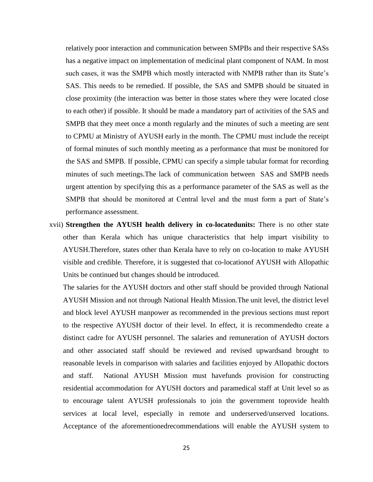relatively poor interaction and communication between SMPBs and their respective SASs has a negative impact on implementation of medicinal plant component of NAM. In most such cases, it was the SMPB which mostly interacted with NMPB rather than its State's SAS. This needs to be remedied. If possible, the SAS and SMPB should be situated in close proximity (the interaction was better in those states where they were located close to each other) if possible. It should be made a mandatory part of activities of the SAS and SMPB that they meet once a month regularly and the minutes of such a meeting are sent to CPMU at Ministry of AYUSH early in the month. The CPMU must include the receipt of formal minutes of such monthly meeting as a performance that must be monitored for the SAS and SMPB. If possible, CPMU can specify a simple tabular format for recording minutes of such meetings.The lack of communication between SAS and SMPB needs urgent attention by specifying this as a performance parameter of the SAS as well as the SMPB that should be monitored at Central level and the must form a part of State's performance assessment.

xvii) **Strengthen the AYUSH health delivery in co-locatedunits:** There is no other state other than Kerala which has unique characteristics that help impart visibility to AYUSH.Therefore, states other than Kerala have to rely on co-location to make AYUSH visible and credible. Therefore, it is suggested that co-locationof AYUSH with Allopathic Units be continued but changes should be introduced.

The salaries for the AYUSH doctors and other staff should be provided through National AYUSH Mission and not through National Health Mission.The unit level, the district level and block level AYUSH manpower as recommended in the previous sections must report to the respective AYUSH doctor of their level. In effect, it is recommendedto create a distinct cadre for AYUSH personnel. The salaries and remuneration of AYUSH doctors and other associated staff should be reviewed and revised upwardsand brought to reasonable levels in comparison with salaries and facilities enjoyed by Allopathic doctors and staff. National AYUSH Mission must havefunds provision for constructing residential accommodation for AYUSH doctors and paramedical staff at Unit level so as to encourage talent AYUSH professionals to join the government toprovide health services at local level, especially in remote and underserved/unserved locations. Acceptance of the aforementionedrecommendations will enable the AYUSH system to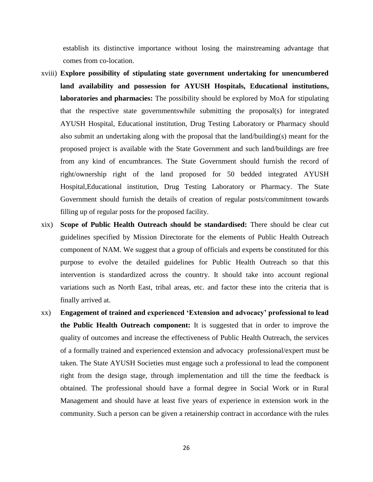establish its distinctive importance without losing the mainstreaming advantage that comes from co-location.

- xviii) **Explore possibility of stipulating state government undertaking for unencumbered land availability and possession for AYUSH Hospitals, Educational institutions, laboratories and pharmacies:** The possibility should be explored by MoA for stipulating that the respective state governmentswhile submitting the proposal(s) for integrated AYUSH Hospital, Educational institution, Drug Testing Laboratory or Pharmacy should also submit an undertaking along with the proposal that the land/building(s) meant for the proposed project is available with the State Government and such land/buildings are free from any kind of encumbrances. The State Government should furnish the record of right/ownership right of the land proposed for 50 bedded integrated AYUSH Hospital,Educational institution, Drug Testing Laboratory or Pharmacy. The State Government should furnish the details of creation of regular posts/commitment towards filling up of regular posts for the proposed facility.
- xix) **Scope of Public Health Outreach should be standardised:** There should be clear cut guidelines specified by Mission Directorate for the elements of Public Health Outreach component of NAM. We suggest that a group of officials and experts be constituted for this purpose to evolve the detailed guidelines for Public Health Outreach so that this intervention is standardized across the country. It should take into account regional variations such as North East, tribal areas, etc. and factor these into the criteria that is finally arrived at.
- xx) **Engagement of trained and experienced 'Extension and advocacy' professional to lead the Public Health Outreach component:** It is suggested that in order to improve the quality of outcomes and increase the effectiveness of Public Health Outreach, the services of a formally trained and experienced extension and advocacy professional/expert must be taken. The State AYUSH Societies must engage such a professional to lead the component right from the design stage, through implementation and till the time the feedback is obtained. The professional should have a formal degree in Social Work or in Rural Management and should have at least five years of experience in extension work in the community. Such a person can be given a retainership contract in accordance with the rules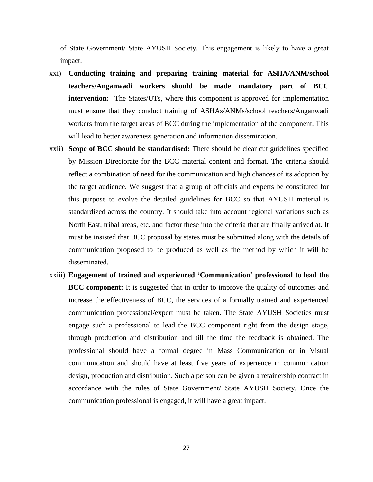of State Government/ State AYUSH Society. This engagement is likely to have a great impact.

- xxi) **Conducting training and preparing training material for ASHA/ANM/school teachers/Anganwadi workers should be made mandatory part of BCC intervention:** The States/UTs, where this component is approved for implementation must ensure that they conduct training of ASHAs/ANMs/school teachers/Anganwadi workers from the target areas of BCC during the implementation of the component. This will lead to better awareness generation and information dissemination.
- xxii) **Scope of BCC should be standardised:** There should be clear cut guidelines specified by Mission Directorate for the BCC material content and format. The criteria should reflect a combination of need for the communication and high chances of its adoption by the target audience. We suggest that a group of officials and experts be constituted for this purpose to evolve the detailed guidelines for BCC so that AYUSH material is standardized across the country. It should take into account regional variations such as North East, tribal areas, etc. and factor these into the criteria that are finally arrived at. It must be insisted that BCC proposal by states must be submitted along with the details of communication proposed to be produced as well as the method by which it will be disseminated.
- xxiii) **Engagement of trained and experienced 'Communication' professional to lead the BCC component:** It is suggested that in order to improve the quality of outcomes and increase the effectiveness of BCC, the services of a formally trained and experienced communication professional/expert must be taken. The State AYUSH Societies must engage such a professional to lead the BCC component right from the design stage, through production and distribution and till the time the feedback is obtained. The professional should have a formal degree in Mass Communication or in Visual communication and should have at least five years of experience in communication design, production and distribution. Such a person can be given a retainership contract in accordance with the rules of State Government/ State AYUSH Society. Once the communication professional is engaged, it will have a great impact.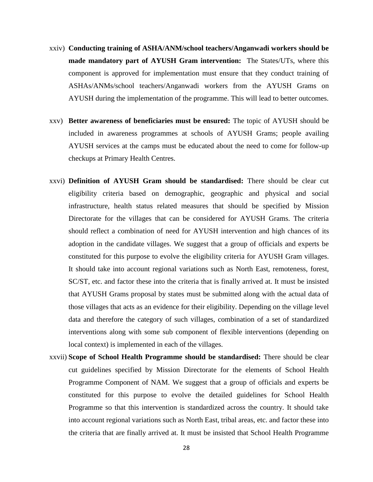- xxiv) **Conducting training of ASHA/ANM/school teachers/Anganwadi workers should be made mandatory part of AYUSH Gram intervention:** The States/UTs, where this component is approved for implementation must ensure that they conduct training of ASHAs/ANMs/school teachers/Anganwadi workers from the AYUSH Grams on AYUSH during the implementation of the programme. This will lead to better outcomes.
- xxv) **Better awareness of beneficiaries must be ensured:** The topic of AYUSH should be included in awareness programmes at schools of AYUSH Grams; people availing AYUSH services at the camps must be educated about the need to come for follow-up checkups at Primary Health Centres.
- xxvi) **Definition of AYUSH Gram should be standardised:** There should be clear cut eligibility criteria based on demographic, geographic and physical and social infrastructure, health status related measures that should be specified by Mission Directorate for the villages that can be considered for AYUSH Grams. The criteria should reflect a combination of need for AYUSH intervention and high chances of its adoption in the candidate villages. We suggest that a group of officials and experts be constituted for this purpose to evolve the eligibility criteria for AYUSH Gram villages. It should take into account regional variations such as North East, remoteness, forest, SC/ST, etc. and factor these into the criteria that is finally arrived at. It must be insisted that AYUSH Grams proposal by states must be submitted along with the actual data of those villages that acts as an evidence for their eligibility. Depending on the village level data and therefore the category of such villages, combination of a set of standardized interventions along with some sub component of flexible interventions (depending on local context) is implemented in each of the villages.
- xxvii) **Scope of School Health Programme should be standardised:** There should be clear cut guidelines specified by Mission Directorate for the elements of School Health Programme Component of NAM. We suggest that a group of officials and experts be constituted for this purpose to evolve the detailed guidelines for School Health Programme so that this intervention is standardized across the country. It should take into account regional variations such as North East, tribal areas, etc. and factor these into the criteria that are finally arrived at. It must be insisted that School Health Programme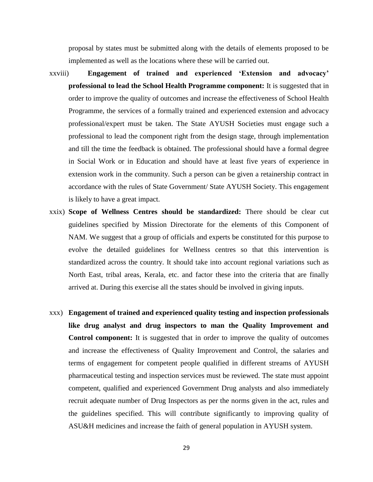proposal by states must be submitted along with the details of elements proposed to be implemented as well as the locations where these will be carried out.

- xxviii) **Engagement of trained and experienced 'Extension and advocacy' professional to lead the School Health Programme component:** It is suggested that in order to improve the quality of outcomes and increase the effectiveness of School Health Programme, the services of a formally trained and experienced extension and advocacy professional/expert must be taken. The State AYUSH Societies must engage such a professional to lead the component right from the design stage, through implementation and till the time the feedback is obtained. The professional should have a formal degree in Social Work or in Education and should have at least five years of experience in extension work in the community. Such a person can be given a retainership contract in accordance with the rules of State Government/ State AYUSH Society. This engagement is likely to have a great impact.
- xxix) **Scope of Wellness Centres should be standardized:** There should be clear cut guidelines specified by Mission Directorate for the elements of this Component of NAM. We suggest that a group of officials and experts be constituted for this purpose to evolve the detailed guidelines for Wellness centres so that this intervention is standardized across the country. It should take into account regional variations such as North East, tribal areas, Kerala, etc. and factor these into the criteria that are finally arrived at. During this exercise all the states should be involved in giving inputs.
- xxx) **Engagement of trained and experienced quality testing and inspection professionals like drug analyst and drug inspectors to man the Quality Improvement and Control component:** It is suggested that in order to improve the quality of outcomes and increase the effectiveness of Quality Improvement and Control, the salaries and terms of engagement for competent people qualified in different streams of AYUSH pharmaceutical testing and inspection services must be reviewed. The state must appoint competent, qualified and experienced Government Drug analysts and also immediately recruit adequate number of Drug Inspectors as per the norms given in the act, rules and the guidelines specified. This will contribute significantly to improving quality of ASU&H medicines and increase the faith of general population in AYUSH system.